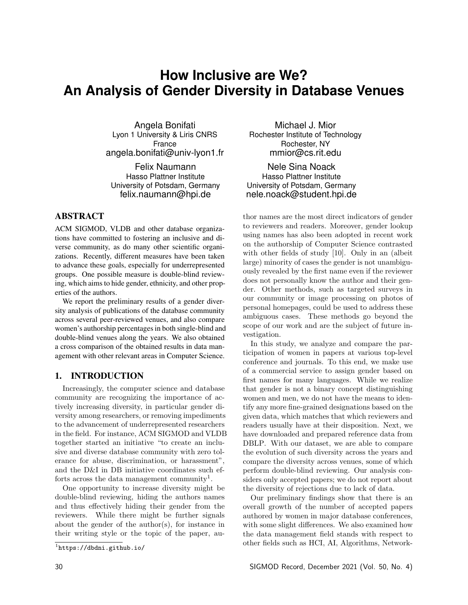# **How Inclusive are We? An Analysis of Gender Diversity in Database Venues**

Angela Bonifati Lyon 1 University & Liris CNRS France angela.bonifati@univ-lyon1.fr

Felix Naumann Hasso Plattner Institute University of Potsdam, Germany felix.naumann@hpi.de

# ABSTRACT

ACM SIGMOD, VLDB and other database organizations have committed to fostering an inclusive and diverse community, as do many other scientific organizations. Recently, different measures have been taken to advance these goals, especially for underrepresented groups. One possible measure is double-blind reviewing, which aims to hide gender, ethnicity, and other properties of the authors.

We report the preliminary results of a gender diversity analysis of publications of the database community across several peer-reviewed venues, and also compare women's authorship percentages in both single-blind and double-blind venues along the years. We also obtained a cross comparison of the obtained results in data management with other relevant areas in Computer Science.

## 1. INTRODUCTION

Increasingly, the computer science and database community are recognizing the importance of actively increasing diversity, in particular gender diversity among researchers, or removing impediments to the advancement of underrepresented researchers in the field. For instance, ACM SIGMOD and VLDB together started an initiative "to create an inclusive and diverse database community with zero tolerance for abuse, discrimination, or harassment", and the D&I in DB initiative coordinates such efforts across the data management community<sup>1</sup>.

One opportunity to increase diversity might be double-blind reviewing, hiding the authors names and thus effectively hiding their gender from the reviewers. While there might be further signals about the gender of the author(s), for instance in their writing style or the topic of the paper, au-

Michael J. Mior Rochester Institute of Technology Rochester, NY mmior@cs.rit.edu

Nele Sina Noack Hasso Plattner Institute University of Potsdam, Germany nele.noack@student.hpi.de

thor names are the most direct indicators of gender to reviewers and readers. Moreover, gender lookup using names has also been adopted in recent work on the authorship of Computer Science contrasted with other fields of study [10]. Only in an (albeit large) minority of cases the gender is not unambiguously revealed by the first name even if the reviewer does not personally know the author and their gender. Other methods, such as targeted surveys in our community or image processing on photos of personal homepages, could be used to address these ambiguous cases. These methods go beyond the scope of our work and are the subject of future investigation.

In this study, we analyze and compare the participation of women in papers at various top-level conference and journals. To this end, we make use of a commercial service to assign gender based on first names for many languages. While we realize that gender is not a binary concept distinguishing women and men, we do not have the means to identify any more fine-grained designations based on the given data, which matches that which reviewers and readers usually have at their disposition. Next, we have downloaded and prepared reference data from DBLP. With our dataset, we are able to compare the evolution of such diversity across the years and compare the diversity across venues, some of which perform double-blind reviewing. Our analysis considers only accepted papers; we do not report about the diversity of rejections due to lack of data.

Our preliminary findings show that there is an overall growth of the number of accepted papers authored by women in major database conferences, with some slight differences. We also examined how the data management field stands with respect to other fields such as HCI, AI, Algorithms, Network-

 $<sup>1</sup>$ https://dbdni.github.io/</sup>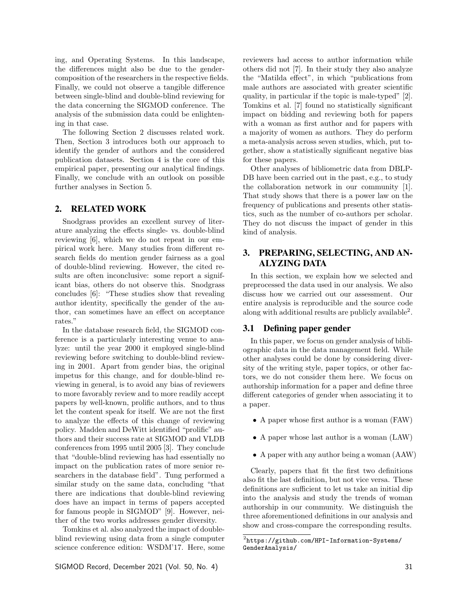ing, and Operating Systems. In this landscape, the differences might also be due to the gendercomposition of the researchers in the respective fields. Finally, we could not observe a tangible difference between single-blind and double-blind reviewing for the data concerning the SIGMOD conference. The analysis of the submission data could be enlightening in that case.

The following Section 2 discusses related work. Then, Section 3 introduces both our approach to identify the gender of authors and the considered publication datasets. Section 4 is the core of this empirical paper, presenting our analytical findings. Finally, we conclude with an outlook on possible further analyses in Section 5.

#### 2. RELATED WORK

Snodgrass provides an excellent survey of literature analyzing the effects single- vs. double-blind reviewing [6], which we do not repeat in our empirical work here. Many studies from different research fields do mention gender fairness as a goal of double-blind reviewing. However, the cited results are often inconclusive: some report a significant bias, others do not observe this. Snodgrass concludes [6]: "These studies show that revealing author identity, specifically the gender of the author, can sometimes have an effect on acceptance rates."

In the database research field, the SIGMOD conference is a particularly interesting venue to analyze: until the year 2000 it employed single-blind reviewing before switching to double-blind reviewing in 2001. Apart from gender bias, the original impetus for this change, and for double-blind reviewing in general, is to avoid any bias of reviewers to more favorably review and to more readily accept papers by well-known, prolific authors, and to thus let the content speak for itself. We are not the first to analyze the effects of this change of reviewing policy. Madden and DeWitt identified "prolific" authors and their success rate at SIGMOD and VLDB conferences from 1995 until 2005 [3]. They conclude that "double-blind reviewing has had essentially no impact on the publication rates of more senior researchers in the database field". Tung performed a similar study on the same data, concluding "that there are indications that double-blind reviewing does have an impact in terms of papers accepted for famous people in SIGMOD" [9]. However, neither of the two works addresses gender diversity.

Tomkins et al. also analyzed the impact of doubleblind reviewing using data from a single computer science conference edition: WSDM'17. Here, some reviewers had access to author information while others did not [7]. In their study they also analyze the "Matilda effect", in which "publications from male authors are associated with greater scientific quality, in particular if the topic is male-typed" [2]. Tomkins et al. [7] found no statistically significant impact on bidding and reviewing both for papers with a woman as first author and for papers with a majority of women as authors. They do perform a meta-analysis across seven studies, which, put together, show a statistically significant negative bias for these papers.

Other analyses of bibliometric data from DBLP-DB have been carried out in the past, e.g., to study the collaboration network in our community [1]. That study shows that there is a power law on the frequency of publications and presents other statistics, such as the number of co-authors per scholar. They do not discuss the impact of gender in this kind of analysis.

# 3. PREPARING, SELECTING, AND AN-ALYZING DATA

In this section, we explain how we selected and preprocessed the data used in our analysis. We also discuss how we carried out our assessment. Our entire analysis is reproducible and the source code along with additional results are publicly available<sup>2</sup>.

#### 3.1 Defining paper gender

In this paper, we focus on gender analysis of bibliographic data in the data management field. While other analyses could be done by considering diversity of the writing style, paper topics, or other factors, we do not consider them here. We focus on authorship information for a paper and define three different categories of gender when associating it to a paper.

- *•* A paper whose first author is a woman (FAW)
- *•* A paper whose last author is a woman (LAW)
- *•* A paper with any author being a woman (AAW)

Clearly, papers that fit the first two definitions also fit the last definition, but not vice versa. These definitions are sufficient to let us take an initial dip into the analysis and study the trends of woman authorship in our community. We distinguish the three aforementioned definitions in our analysis and show and cross-compare the corresponding results.

 $^2$ https://github.com/HPI-Information-Systems/ GenderAnalysis/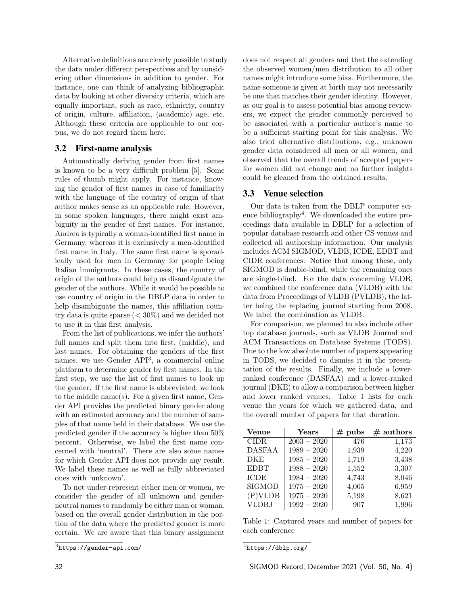Alternative definitions are clearly possible to study the data under different perspectives and by considering other dimensions in addition to gender. For instance, one can think of analyzing bibliographic data by looking at other diversity criteria, which are equally important, such as race, ethnicity, country of origin, culture, aliation, (academic) age, etc. Although these criteria are applicable to our corpus, we do not regard them here.

### 3.2 First-name analysis

Automatically deriving gender from first names is known to be a very difficult problem  $[5]$ . Some rules of thumb might apply. For instance, knowing the gender of first names in case of familiarity with the language of the country of origin of that author makes sense as an applicable rule. However, in some spoken languages, there might exist ambiguity in the gender of first names. For instance, Andrea is typically a woman-identified first name in Germany, whereas it is exclusively a men-identified first name in Italy. The same first name is sporadically used for men in Germany for people being Italian immigrants. In these cases, the country of origin of the authors could help us disambiguate the gender of the authors. While it would be possible to use country of origin in the DBLP data in order to help disambiguate the names, this affiliation country data is quite sparse (*<* 30%) and we decided not to use it in this first analysis.

From the list of publications, we infer the authors' full names and split them into first, (middle), and last names. For obtaining the genders of the first names, we use Gender API<sup>3</sup>, a commercial online platform to determine gender by first names. In the first step, we use the list of first names to look up the gender. If the first name is abbreviated, we look to the middle name(s). For a given first name, Gender API provides the predicted binary gender along with an estimated accuracy and the number of samples of that name held in their database. We use the predicted gender if the accuracy is higher than 50% percent. Otherwise, we label the first name concerned with 'neutral'. There are also some names for which Gender API does not provide any result. We label these names as well as fully abbreviated ones with 'unknown'.

To not under-represent either men or women, we consider the gender of all unknown and genderneutral names to randomly be either man or woman, based on the overall gender distribution in the portion of the data where the predicted gender is more certain. We are aware that this binary assignment

does not respect all genders and that the extending the observed women/men distribution to all other names might introduce some bias. Furthermore, the name someone is given at birth may not necessarily be one that matches their gender identity. However, as our goal is to assess potential bias among reviewers, we expect the gender commonly perceived to be associated with a particular author's name to be a sufficient starting point for this analysis. We also tried alternative distributions, e.g., unknown gender data considered all men or all women, and observed that the overall trends of accepted papers for women did not change and no further insights could be gleaned from the obtained results.

# 3.3 Venue selection

Our data is taken from the DBLP computer science bibliography<sup>4</sup>. We downloaded the entire proceedings data available in DBLP for a selection of popular database research and other CS venues and collected all authorship information. Our analysis includes ACM SIGMOD, VLDB, ICDE, EDBT and CIDR conferences. Notice that among these, only SIGMOD is double-blind, while the remaining ones are single-blind. For the data concerning VLDB, we combined the conference data (VLDB) with the data from Proceedings of VLDB (PVLDB), the latter being the replacing journal starting from 2008. We label the combination as VLDB.

For comparison, we planned to also include other top database journals, such as VLDB Journal and ACM Transactions on Database Systems (TODS). Due to the low absolute number of papers appearing in TODS, we decided to dismiss it in the presentation of the results. Finally, we include a lowerranked conference (DASFAA) and a lower-ranked journal (DKE) to allow a comparison between higher and lower ranked venues. Table 1 lists for each venue the years for which we gathered data, and the overall number of papers for that duration.

| <b>Venue</b>  | Years         | $#$ pubs | $#$ authors |
|---------------|---------------|----------|-------------|
| <b>CIDR</b>   | $2003 - 2020$ | 476      | 1,173       |
| <b>DASFAA</b> | $1989 - 2020$ | 1,939    | 4,220       |
| <b>DKE</b>    | $1985 - 2020$ | 1,719    | 3,438       |
| <b>EDBT</b>   | $1988 - 2020$ | 1,552    | 3,307       |
| <b>ICDE</b>   | $1984 - 2020$ | 4,743    | 8,046       |
| <b>SIGMOD</b> | $1975 - 2020$ | 4,065    | 6,959       |
| $(P)$ VLDB    | $1975 - 2020$ | 5,198    | 8,621       |
| <b>VLDBJ</b>  | $1992 - 2020$ | 907      | 1,996       |

Table 1: Captured years and number of papers for each conference

<sup>3</sup>https://gender-api.com/

<sup>4</sup>https://dblp.org/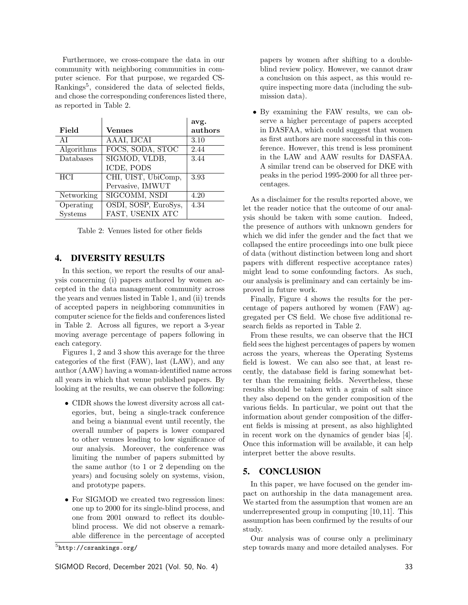Furthermore, we cross-compare the data in our community with neighboring communities in computer science. For that purpose, we regarded CS-Rankings<sup>5</sup>, considered the data of selected fields, and chose the corresponding conferences listed there, as reported in Table 2.

|            |                      | avg.    |
|------------|----------------------|---------|
| Field      | <b>Venues</b>        | authors |
| AI         | AAAI, IJCAI          | 3.10    |
| Algorithms | FOCS, SODA, STOC     | 2.44    |
| Databases  | SIGMOD, VLDB,        | 3.44    |
|            | ICDE, PODS           |         |
| HCI        | CHI, UIST, UbiComp,  | 3.93    |
|            | Pervasive, IMWUT     |         |
| Networking | SIGCOMM, NSDI        | 4.20    |
| Operating  | OSDI, SOSP, EuroSys, | 4.34    |
| Systems    | FAST, USENIX ATC     |         |

Table 2: Venues listed for other fields

#### 4. DIVERSITY RESULTS

In this section, we report the results of our analysis concerning (i) papers authored by women accepted in the data management community across the years and venues listed in Table 1, and (ii) trends of accepted papers in neighboring communities in computer science for the fields and conferences listed in Table 2. Across all figures, we report a 3-year moving average percentage of papers following in each category.

Figures 1, 2 and 3 show this average for the three categories of the first (FAW), last (LAW), and any author (AAW) having a woman-identified name across all years in which that venue published papers. By looking at the results, we can observe the following:

- *•* CIDR shows the lowest diversity across all categories, but, being a single-track conference and being a biannual event until recently, the overall number of papers is lower compared to other venues leading to low significance of our analysis. Moreover, the conference was limiting the number of papers submitted by the same author (to 1 or 2 depending on the years) and focusing solely on systems, vision, and prototype papers.
- *•* For SIGMOD we created two regression lines: one up to 2000 for its single-blind process, and one from 2001 onward to reflect its doubleblind process. We did not observe a remarkable difference in the percentage of accepted

SIGMOD Record, December 2021 (Vol. 50, No. 4) 33

papers by women after shifting to a doubleblind review policy. However, we cannot draw a conclusion on this aspect, as this would require inspecting more data (including the submission data).

*•* By examining the FAW results, we can observe a higher percentage of papers accepted in DASFAA, which could suggest that women as first authors are more successful in this conference. However, this trend is less prominent in the LAW and AAW results for DASFAA. A similar trend can be observed for DKE with peaks in the period 1995-2000 for all three percentages.

As a disclaimer for the results reported above, we let the reader notice that the outcome of our analysis should be taken with some caution. Indeed, the presence of authors with unknown genders for which we did infer the gender and the fact that we collapsed the entire proceedings into one bulk piece of data (without distinction between long and short papers with different respective acceptance rates) might lead to some confounding factors. As such, our analysis is preliminary and can certainly be improved in future work.

Finally, Figure 4 shows the results for the percentage of papers authored by women (FAW) aggregated per CS field. We chose five additional research fields as reported in Table 2.

From these results, we can observe that the HCI field sees the highest percentages of papers by women across the years, whereas the Operating Systems field is lowest. We can also see that, at least recently, the database field is faring somewhat better than the remaining fields. Nevertheless, these results should be taken with a grain of salt since they also depend on the gender composition of the various fields. In particular, we point out that the information about gender composition of the different fields is missing at present, as also highlighted in recent work on the dynamics of gender bias [4]. Once this information will be available, it can help interpret better the above results.

#### 5. CONCLUSION

In this paper, we have focused on the gender impact on authorship in the data management area. We started from the assumption that women are an underrepresented group in computing [10, 11]. This assumption has been confirmed by the results of our study.

Our analysis was of course only a preliminary step towards many and more detailed analyses. For

<sup>5</sup>http://csrankings.org/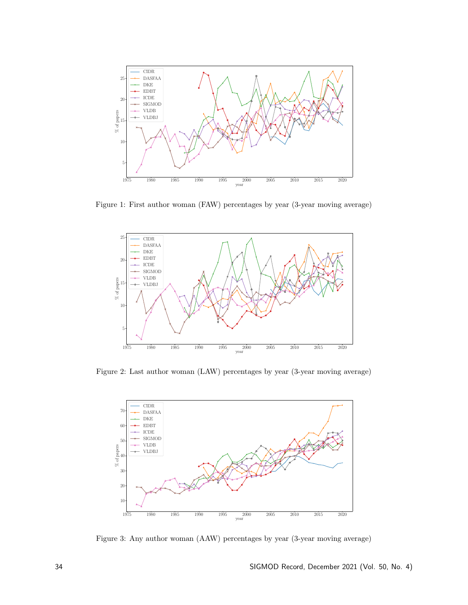

Figure 1: First author woman (FAW) percentages by year (3-year moving average)



Figure 2: Last author woman (LAW) percentages by year (3-year moving average)



Figure 3: Any author woman (AAW) percentages by year (3-year moving average)